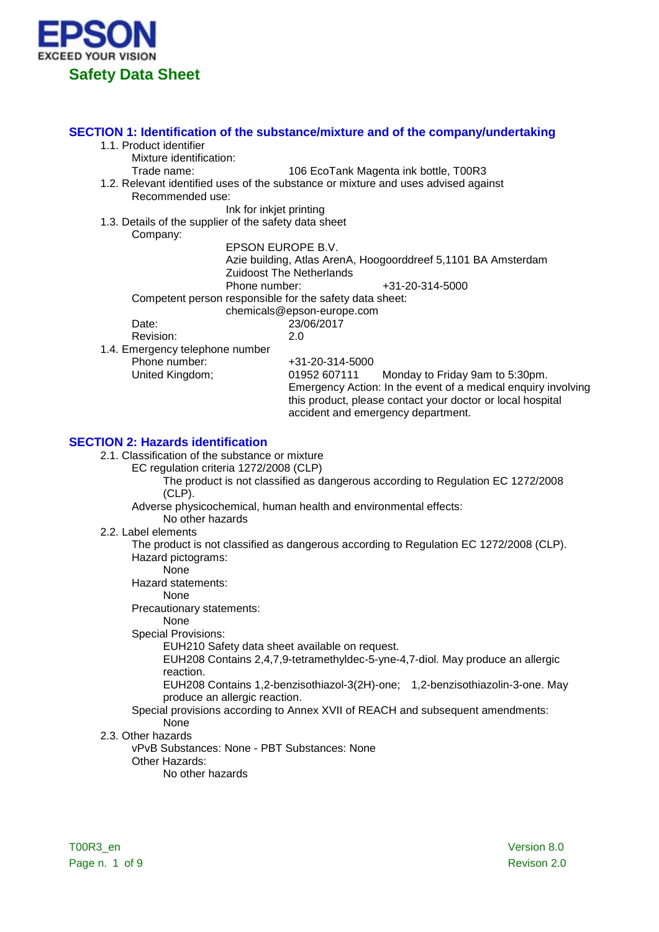

### **SECTION 1: Identification of the substance/mixture and of the company/undertaking** 1.1. Product identifier Mixture identification: Trade name: 106 EcoTank Magenta ink bottle, T00R3 1.2. Relevant identified uses of the substance or mixture and uses advised against Recommended use: Ink for inkjet printing 1.3. Details of the supplier of the safety data sheet Company: EPSON EUROPE B.V. Azie building, Atlas ArenA, Hoogoorddreef 5,1101 BA Amsterdam Zuidoost The Netherlands Phone number:  $+31-20-314-5000$ Competent person responsible for the safety data sheet: chemicals@epson-europe.com Date: 23/06/2017<br>Revision: 20 Revision: 1.4. Emergency telephone number Phone number: +31-20-314-5000<br>
United Kingdom: 01952 607111 Monday to Friday 9am to 5:30pm. Emergency Action: In the event of a medical enquiry involving this product, please contact your doctor or local hospital accident and emergency department. **SECTION 2: Hazards identification**

- 2.1. Classification of the substance or mixture
	- EC regulation criteria 1272/2008 (CLP)

The product is not classified as dangerous according to Regulation EC 1272/2008 (CLP).

Adverse physicochemical, human health and environmental effects:

- No other hazards
- 2.2. Label elements

The product is not classified as dangerous according to Regulation EC 1272/2008 (CLP). Hazard pictograms:

None

Hazard statements:

None

Precautionary statements:

None

Special Provisions:

EUH210 Safety data sheet available on request.

EUH208 Contains 2,4,7,9-tetramethyldec-5-yne-4,7-diol. May produce an allergic reaction.

EUH208 Contains 1,2-benzisothiazol-3(2H)-one; 1,2-benzisothiazolin-3-one. May produce an allergic reaction.

# Special provisions according to Annex XVII of REACH and subsequent amendments: None

2.3. Other hazards

vPvB Substances: None - PBT Substances: None

- Other Hazards:
	- No other hazards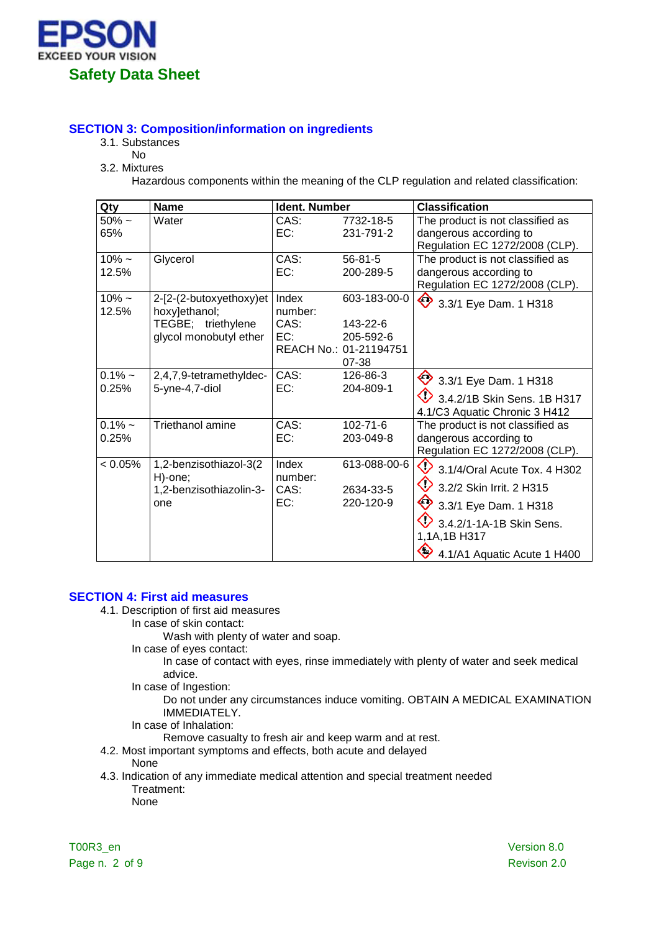

# **SECTION 3: Composition/information on ingredients**

- 3.1. Substances
	- No
- 3.2. Mixtures

Hazardous components within the meaning of the CLP regulation and related classification:

| Qty                | <b>Name</b>                                                                              | <b>Ident. Number</b>            |                                                                          | <b>Classification</b>                                                                                                                                                            |
|--------------------|------------------------------------------------------------------------------------------|---------------------------------|--------------------------------------------------------------------------|----------------------------------------------------------------------------------------------------------------------------------------------------------------------------------|
| $50\%$ ~<br>65%    | Water                                                                                    | CAS:<br>EC:                     | 7732-18-5<br>231-791-2                                                   | The product is not classified as<br>dangerous according to<br>Regulation EC 1272/2008 (CLP).                                                                                     |
| $10\% -$<br>12.5%  | Glycerol                                                                                 | CAS:<br>EC:                     | $56 - 81 - 5$<br>200-289-5                                               | The product is not classified as<br>dangerous according to<br>Regulation EC 1272/2008 (CLP).                                                                                     |
| $10\% -$<br>12.5%  | 2-[2-(2-butoxyethoxy)et<br>hoxy]ethanol;<br>TEGBE; triethylene<br>glycol monobutyl ether | Index<br>number:<br>CAS:<br>EC: | 603-183-00-0<br>143-22-6<br>205-592-6<br>REACH No.: 01-21194751<br>07-38 | ◇<br>3.3/1 Eye Dam. 1 H318                                                                                                                                                       |
| $0.1\%$ ~<br>0.25% | 2,4,7,9-tetramethyldec-<br>5-yne-4,7-diol                                                | CAS:<br>EC:                     | 126-86-3<br>204-809-1                                                    | $\leftrightarrow$ 3.3/1 Eye Dam. 1 H318<br>$\bigcirc$ 3.4.2/1B Skin Sens. 1B H317<br>4.1/C3 Aquatic Chronic 3 H412                                                               |
| $0.1\%$ ~<br>0.25% | Triethanol amine                                                                         | CAS:<br>EC:                     | $102 - 71 - 6$<br>203-049-8                                              | The product is not classified as<br>dangerous according to<br>Regulation EC 1272/2008 (CLP).                                                                                     |
| < 0.05%            | 1,2-benzisothiazol-3(2<br>H)-one;<br>1,2-benzisothiazolin-3-<br>one                      | Index<br>number:<br>CAS:<br>EC: | 613-088-00-6<br>2634-33-5<br>220-120-9                                   | ◇<br>3.1/4/Oral Acute Tox. 4 H302<br>◇<br>3.2/2 Skin Irrit. 2 H315<br>♦<br>3.3/1 Eye Dam. 1 H318<br>3.4.2/1-1A-1B Skin Sens.<br>1,1A,1B H317<br>◇<br>4.1/A1 Aquatic Acute 1 H400 |

### **SECTION 4: First aid measures**

- 4.1. Description of first aid measures
	- In case of skin contact:

Wash with plenty of water and soap.

In case of eyes contact:

In case of contact with eyes, rinse immediately with plenty of water and seek medical advice.

In case of Ingestion:

Do not under any circumstances induce vomiting. OBTAIN A MEDICAL EXAMINATION IMMEDIATELY.

In case of Inhalation:

Remove casualty to fresh air and keep warm and at rest.

4.2. Most important symptoms and effects, both acute and delayed

None

4.3. Indication of any immediate medical attention and special treatment needed Treatment:

None

T00R3\_en Version 8.0 Page n. 2 of 9 Revison 2.0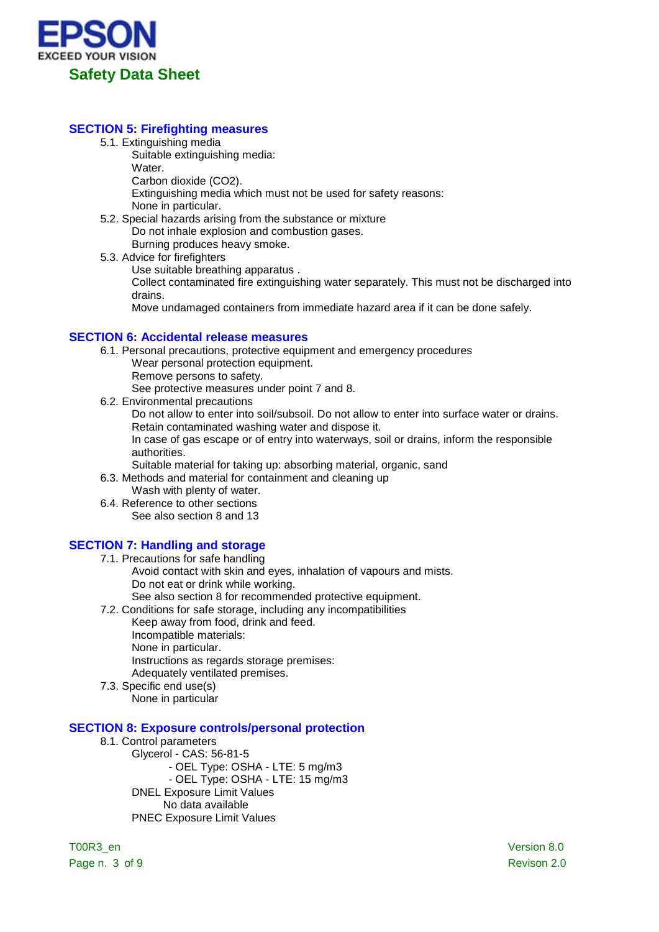

# **SECTION 5: Firefighting measures**

- 5.1. Extinguishing media
	- Suitable extinguishing media:
	- Water.

Carbon dioxide (CO2).

Extinguishing media which must not be used for safety reasons: None in particular.

- 5.2. Special hazards arising from the substance or mixture Do not inhale explosion and combustion gases. Burning produces heavy smoke.
- 5.3. Advice for firefighters

Use suitable breathing apparatus .

Collect contaminated fire extinguishing water separately. This must not be discharged into drains.

Move undamaged containers from immediate hazard area if it can be done safely.

### **SECTION 6: Accidental release measures**

- 6.1. Personal precautions, protective equipment and emergency procedures
	- Wear personal protection equipment.
	- Remove persons to safety.

See protective measures under point 7 and 8.

6.2. Environmental precautions

Do not allow to enter into soil/subsoil. Do not allow to enter into surface water or drains. Retain contaminated washing water and dispose it.

In case of gas escape or of entry into waterways, soil or drains, inform the responsible authorities.

Suitable material for taking up: absorbing material, organic, sand

6.3. Methods and material for containment and cleaning up

- Wash with plenty of water.
- 6.4. Reference to other sections See also section 8 and 13

# **SECTION 7: Handling and storage**

- 7.1. Precautions for safe handling Avoid contact with skin and eyes, inhalation of vapours and mists. Do not eat or drink while working. See also section 8 for recommended protective equipment.
- 7.2. Conditions for safe storage, including any incompatibilities
	- Keep away from food, drink and feed. Incompatible materials: None in particular. Instructions as regards storage premises: Adequately ventilated premises.
- 7.3. Specific end use(s) None in particular

### **SECTION 8: Exposure controls/personal protection**

8.1. Control parameters

Glycerol - CAS: 56-81-5 - OEL Type: OSHA - LTE: 5 mg/m3 - OEL Type: OSHA - LTE: 15 mg/m3 DNEL Exposure Limit Values No data available PNEC Exposure Limit Values

T00R3\_en Version 8.0 Page n. 3 of 9 Revison 2.0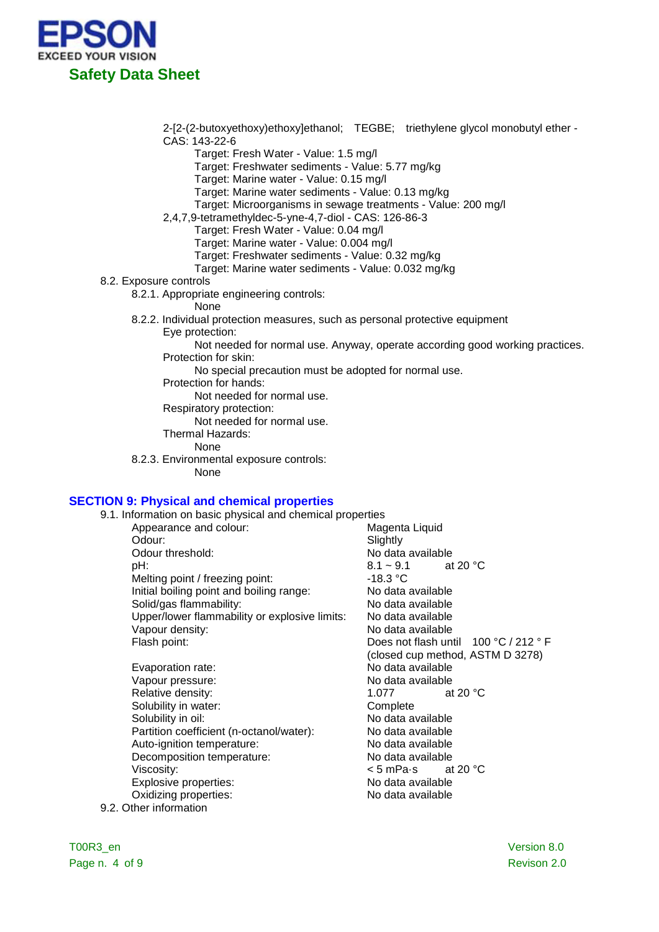

2-[2-(2-butoxyethoxy)ethoxy]ethanol; TEGBE; triethylene glycol monobutyl ether - CAS: 143-22-6

- Target: Fresh Water Value: 1.5 mg/l
- Target: Freshwater sediments Value: 5.77 mg/kg
- Target: Marine water Value: 0.15 mg/l
- Target: Marine water sediments Value: 0.13 mg/kg
- Target: Microorganisms in sewage treatments Value: 200 mg/l
- 2,4,7,9-tetramethyldec-5-yne-4,7-diol CAS: 126-86-3
	- Target: Fresh Water Value: 0.04 mg/l
	- Target: Marine water Value: 0.004 mg/l
	- Target: Freshwater sediments Value: 0.32 mg/kg
	- Target: Marine water sediments Value: 0.032 mg/kg

#### 8.2. Exposure controls

- 8.2.1. Appropriate engineering controls:
	- None
- 8.2.2. Individual protection measures, such as personal protective equipment Eye protection:
	- Not needed for normal use. Anyway, operate according good working practices. Protection for skin:
		- No special precaution must be adopted for normal use.
	- Protection for hands:

Not needed for normal use.

Respiratory protection:

Not needed for normal use.

- Thermal Hazards:
	- None
- 8.2.3. Environmental exposure controls:
	- None

#### **SECTION 9: Physical and chemical properties**

- 9.1. Information on basic physical and chemical properties<br>Appearance and colour: Magenta Liquid
	- Appearance and colour: Odour: Slightly Slightly<br>Colour threshold: Slightly Slightly Slightly Odour threshold:  $\begin{array}{ccc} \textsf{D} & \textsf{N} & \textsf{N} & \textsf{d} & \textsf{d} & \textsf{d} & \textsf{d} & \textsf{d} \\ \textsf{D} & \textsf{H}: & 8.1 \sim 9.1 & \textsf{d} & 20 \text{ }^\circ \textsf{C} \end{array}$ pH: 8.1 ~ 9.1 at 20 °C Melting point / freezing point:  $\blacksquare$  -18.3 °C<br>
	Initial boiling point and boiling range: No data available Initial boiling point and boiling range: No data available<br>Solid/gas flammability: No data available Solid/gas flammability: No data available Upper/lower flammability or explosive limits: Vapour density:<br>
	Flash point: No data available<br>
	Does not flash unt
- Evaporation rate: No data available Vapour pressure: No data available Relative density:<br>
Solubility in water:<br>
Solubility in water:<br>
Complete Solubility in water: Solubility in oil: Solubility in oil: No data available Partition coefficient (n-octanol/water): No data available<br>Auto-ignition temperature: No data available Auto-ignition temperature: Decomposition temperature: No data available Viscosity:  $\leq$  5 mPa·s at 20 °C <br>Explosive properties:  $\leq$  No data available Explosive properties: Oxidizing properties: No data available 9.2. Other information

Does not flash until 100 °C / 212 ° F (closed cup method, ASTM D 3278)

T00R3\_en Version 8.0 Page n. 4 of 9 Revison 2.0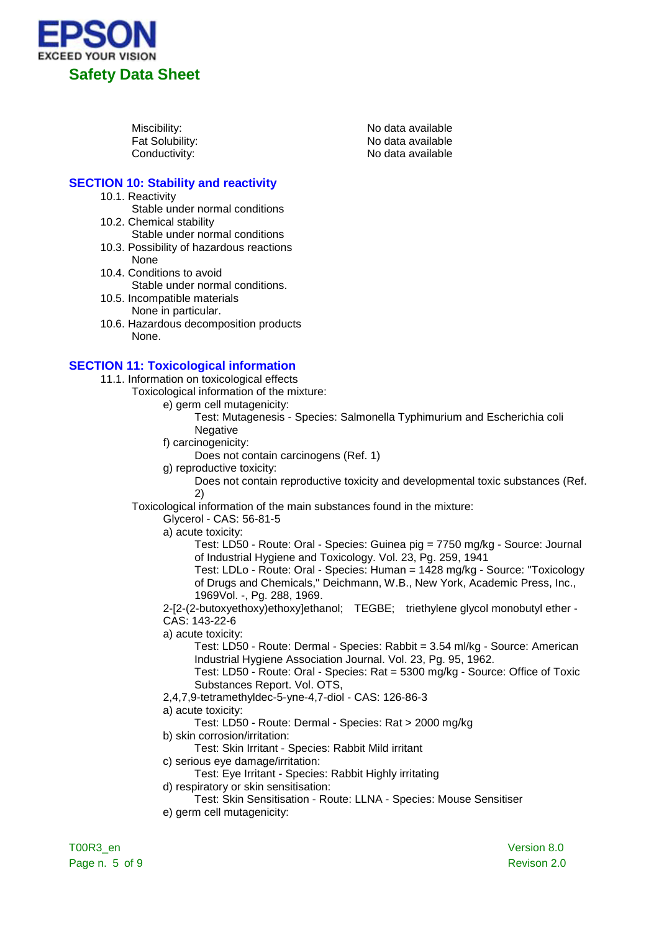

Miscibility:<br>
Fat Solubility:<br>
Fat Solubility: Contract Contract Contract No data available Fat Solubility:<br>
Conductivity:<br>
Conductivity:<br>
No data available No data available

# **SECTION 10: Stability and reactivity**

- 10.1. Reactivity
	- Stable under normal conditions
- 10.2. Chemical stability
- Stable under normal conditions
- 10.3. Possibility of hazardous reactions None
- 10.4. Conditions to avoid Stable under normal conditions.
- 10.5. Incompatible materials None in particular.
- 10.6. Hazardous decomposition products None.

# **SECTION 11: Toxicological information**

- 11.1. Information on toxicological effects
	- Toxicological information of the mixture:
		- e) germ cell mutagenicity:
			- Test: Mutagenesis Species: Salmonella Typhimurium and Escherichia coli Negative
		- f) carcinogenicity:
			- Does not contain carcinogens (Ref. 1)
		- g) reproductive toxicity:
			- Does not contain reproductive toxicity and developmental toxic substances (Ref. 2)

Toxicological information of the main substances found in the mixture:

Glycerol - CAS: 56-81-5

a) acute toxicity:

Test: LD50 - Route: Oral - Species: Guinea pig = 7750 mg/kg - Source: Journal of Industrial Hygiene and Toxicology. Vol. 23, Pg. 259, 1941

Test: LDLo - Route: Oral - Species: Human = 1428 mg/kg - Source: "Toxicology of Drugs and Chemicals," Deichmann, W.B., New York, Academic Press, Inc., 1969Vol. -, Pg. 288, 1969.

2-[2-(2-butoxyethoxy)ethoxy]ethanol; TEGBE; triethylene glycol monobutyl ether - CAS: 143-22-6

a) acute toxicity:

Test: LD50 - Route: Dermal - Species: Rabbit = 3.54 ml/kg - Source: American Industrial Hygiene Association Journal. Vol. 23, Pg. 95, 1962.

Test: LD50 - Route: Oral - Species: Rat = 5300 mg/kg - Source: Office of Toxic Substances Report. Vol. OTS,

2,4,7,9-tetramethyldec-5-yne-4,7-diol - CAS: 126-86-3

a) acute toxicity:

Test: LD50 - Route: Dermal - Species: Rat > 2000 mg/kg

- b) skin corrosion/irritation:
	- Test: Skin Irritant Species: Rabbit Mild irritant
- c) serious eye damage/irritation:
- Test: Eye Irritant Species: Rabbit Highly irritating
- d) respiratory or skin sensitisation:
- Test: Skin Sensitisation Route: LLNA Species: Mouse Sensitiser e) germ cell mutagenicity: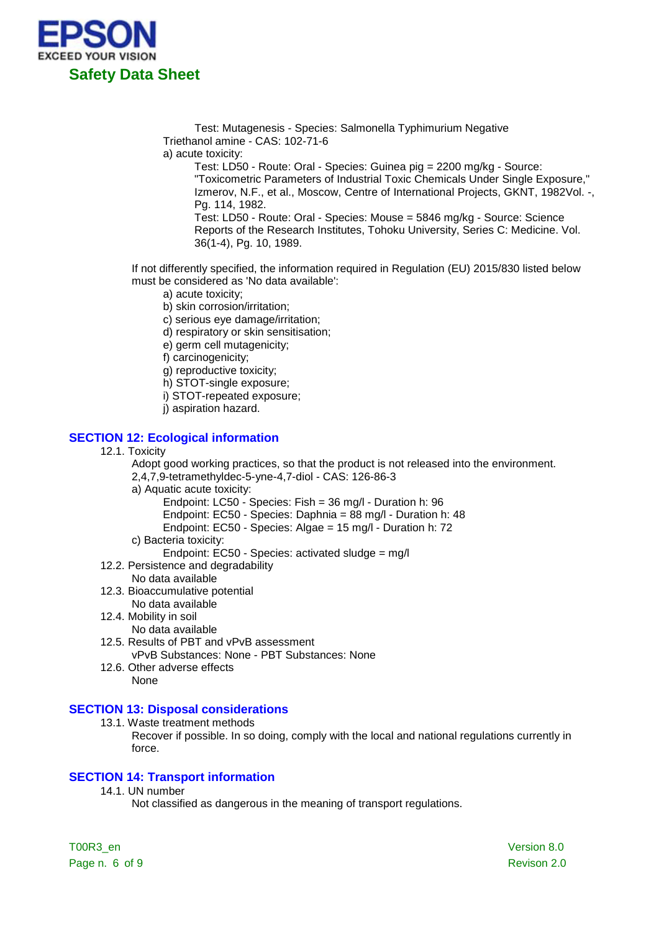

Test: Mutagenesis - Species: Salmonella Typhimurium Negative Triethanol amine - CAS: 102-71-6

a) acute toxicity:

Test: LD50 - Route: Oral - Species: Guinea pig = 2200 mg/kg - Source: "Toxicometric Parameters of Industrial Toxic Chemicals Under Single Exposure," Izmerov, N.F., et al., Moscow, Centre of International Projects, GKNT, 1982Vol. -, Pg. 114, 1982. Test: LD50 - Route: Oral - Species: Mouse = 5846 mg/kg - Source: Science

Reports of the Research Institutes, Tohoku University, Series C: Medicine. Vol. 36(1-4), Pg. 10, 1989.

If not differently specified, the information required in Regulation (EU) 2015/830 listed below must be considered as 'No data available':

- a) acute toxicity;
- b) skin corrosion/irritation;
- c) serious eye damage/irritation;
- d) respiratory or skin sensitisation;
- e) germ cell mutagenicity;
- f) carcinogenicity;
- g) reproductive toxicity;
- h) STOT-single exposure;
- i) STOT-repeated exposure;
- j) aspiration hazard.

### **SECTION 12: Ecological information**

12.1. Toxicity

Adopt good working practices, so that the product is not released into the environment. 2,4,7,9-tetramethyldec-5-yne-4,7-diol - CAS: 126-86-3

- a) Aquatic acute toxicity:
	- Endpoint: LC50 Species: Fish = 36 mg/l Duration h: 96
	- Endpoint: EC50 Species: Daphnia = 88 mg/l Duration h: 48
	- Endpoint: EC50 Species: Algae = 15 mg/l Duration h: 72
- c) Bacteria toxicity:
	- Endpoint: EC50 Species: activated sludge = mg/l
- 12.2. Persistence and degradability
	- No data available
- 12.3. Bioaccumulative potential
	- No data available
- 12.4. Mobility in soil
	- No data available
- 12.5. Results of PBT and vPvB assessment

vPvB Substances: None - PBT Substances: None

12.6. Other adverse effects None

### **SECTION 13: Disposal considerations**

- 13.1. Waste treatment methods
	- Recover if possible. In so doing, comply with the local and national regulations currently in force.

# **SECTION 14: Transport information**

14.1. UN number

Not classified as dangerous in the meaning of transport regulations.

T00R3\_en Version 8.0 Page n. 6 of 9 Revison 2.0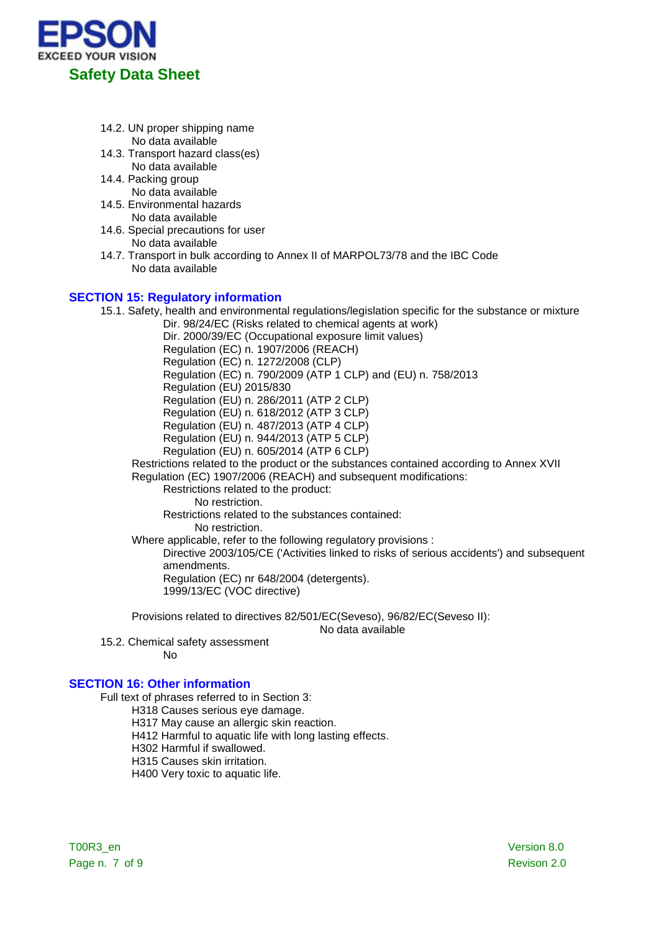

- 14.2. UN proper shipping name No data available
- 14.3. Transport hazard class(es) No data available
- 14.4. Packing group No data available
- 14.5. Environmental hazards No data available
- 14.6. Special precautions for user No data available
- 14.7. Transport in bulk according to Annex II of MARPOL73/78 and the IBC Code No data available

### **SECTION 15: Regulatory information**

15.1. Safety, health and environmental regulations/legislation specific for the substance or mixture

Dir. 98/24/EC (Risks related to chemical agents at work) Dir. 2000/39/EC (Occupational exposure limit values) Regulation (EC) n. 1907/2006 (REACH) Regulation (EC) n. 1272/2008 (CLP) Regulation (EC) n. 790/2009 (ATP 1 CLP) and (EU) n. 758/2013 Regulation (EU) 2015/830 Regulation (EU) n. 286/2011 (ATP 2 CLP) Regulation (EU) n. 618/2012 (ATP 3 CLP) Regulation (EU) n. 487/2013 (ATP 4 CLP) Regulation (EU) n. 944/2013 (ATP 5 CLP) Regulation (EU) n. 605/2014 (ATP 6 CLP) Restrictions related to the product or the substances contained according to Annex XVII Regulation (EC) 1907/2006 (REACH) and subsequent modifications: Restrictions related to the product: No restriction. Restrictions related to the substances contained:

No restriction.

Where applicable, refer to the following regulatory provisions :

Directive 2003/105/CE ('Activities linked to risks of serious accidents') and subsequent amendments.

Regulation (EC) nr 648/2004 (detergents). 1999/13/EC (VOC directive)

Provisions related to directives 82/501/EC(Seveso), 96/82/EC(Seveso II):

No data available

15.2. Chemical safety assessment

No

# **SECTION 16: Other information**

Full text of phrases referred to in Section 3:

- H318 Causes serious eye damage.
- H317 May cause an allergic skin reaction.
- H412 Harmful to aquatic life with long lasting effects.
- H302 Harmful if swallowed.
- H315 Causes skin irritation.

H400 Very toxic to aquatic life.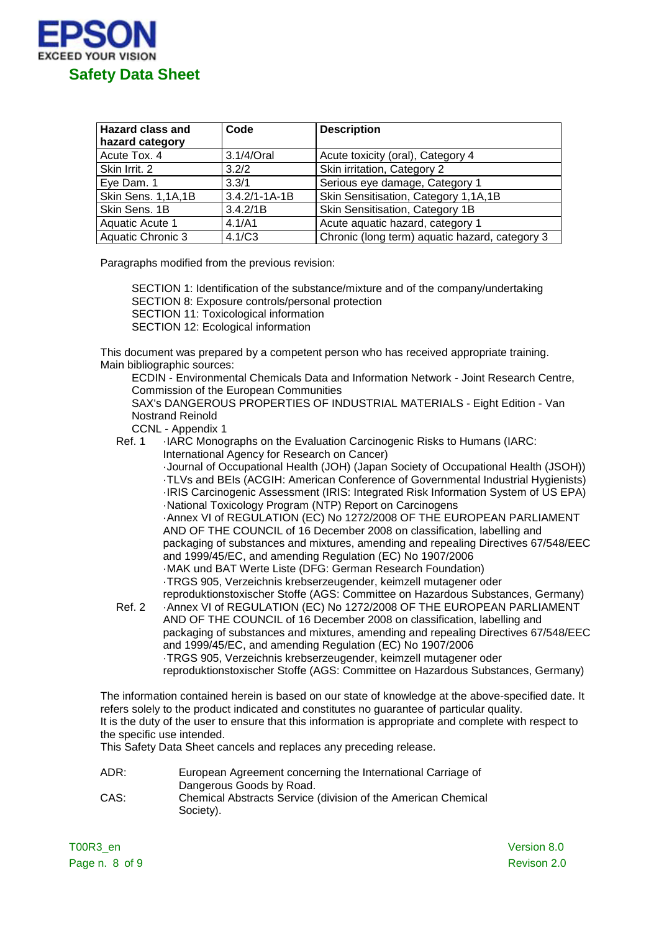

| <b>Hazard class and</b> | Code                | <b>Description</b>                             |
|-------------------------|---------------------|------------------------------------------------|
| hazard category         |                     |                                                |
| Acute Tox. 4            | 3.1/4/Oral          | Acute toxicity (oral), Category 4              |
| Skin Irrit. 2           | 3.2/2               | Skin irritation, Category 2                    |
| Eye Dam. 1              | 3.3/1               | Serious eye damage, Category 1                 |
| Skin Sens. 1,1A,1B      | $3.4.2/1 - 1A - 1B$ | Skin Sensitisation, Category 1,1A,1B           |
| Skin Sens. 1B           | 3.4.2/1B            | Skin Sensitisation, Category 1B                |
| Aquatic Acute 1         | 4.1/A1              | Acute aquatic hazard, category 1               |
| Aquatic Chronic 3       | 4.1/C3              | Chronic (long term) aquatic hazard, category 3 |

Paragraphs modified from the previous revision:

SECTION 1: Identification of the substance/mixture and of the company/undertaking SECTION 8: Exposure controls/personal protection SECTION 11: Toxicological information SECTION 12: Ecological information

This document was prepared by a competent person who has received appropriate training. Main bibliographic sources:

ECDIN - Environmental Chemicals Data and Information Network - Joint Research Centre, Commission of the European Communities SAX's DANGEROUS PROPERTIES OF INDUSTRIAL MATERIALS - Eight Edition - Van Nostrand Reinold

CCNL - Appendix 1

Ref. 1 ·IARC Monographs on the Evaluation Carcinogenic Risks to Humans (IARC: International Agency for Research on Cancer) ·Journal of Occupational Health (JOH) (Japan Society of Occupational Health (JSOH)) ·TLVs and BEIs (ACGIH: American Conference of Governmental Industrial Hygienists) ·IRIS Carcinogenic Assessment (IRIS: Integrated Risk Information System of US EPA) ·National Toxicology Program (NTP) Report on Carcinogens

·Annex VI of REGULATION (EC) No 1272/2008 OF THE EUROPEAN PARLIAMENT AND OF THE COUNCIL of 16 December 2008 on classification, labelling and packaging of substances and mixtures, amending and repealing Directives 67/548/EEC and 1999/45/EC, and amending Regulation (EC) No 1907/2006 ·MAK und BAT Werte Liste (DFG: German Research Foundation) ·TRGS 905, Verzeichnis krebserzeugender, keimzell mutagener oder reproduktionstoxischer Stoffe (AGS: Committee on Hazardous Substances, Germany)

Ref. 2 ·Annex VI of REGULATION (EC) No 1272/2008 OF THE EUROPEAN PARLIAMENT AND OF THE COUNCIL of 16 December 2008 on classification, labelling and packaging of substances and mixtures, amending and repealing Directives 67/548/EEC and 1999/45/EC, and amending Regulation (EC) No 1907/2006 ·TRGS 905, Verzeichnis krebserzeugender, keimzell mutagener oder reproduktionstoxischer Stoffe (AGS: Committee on Hazardous Substances, Germany)

The information contained herein is based on our state of knowledge at the above-specified date. It refers solely to the product indicated and constitutes no guarantee of particular quality. It is the duty of the user to ensure that this information is appropriate and complete with respect to the specific use intended.

This Safety Data Sheet cancels and replaces any preceding release.

ADR: European Agreement concerning the International Carriage of Dangerous Goods by Road. CAS: Chemical Abstracts Service (division of the American Chemical Society).

T00R3\_en Version 8.0 Page n. 8 of 9 Revison 2.0